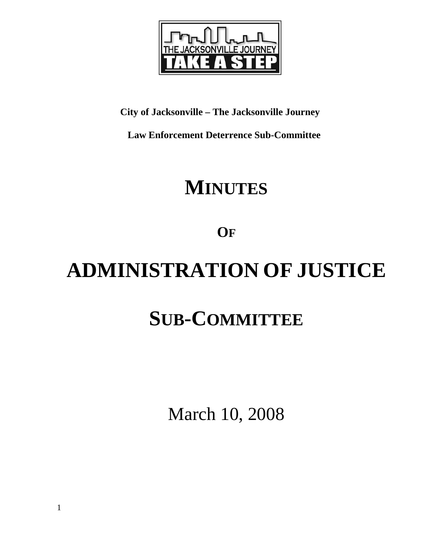

### **City of Jacksonville – The Jacksonville Journey**

 **Law Enforcement Deterrence Sub-Committee** 

# **MINUTES**

**OF**

# **ADMINISTRATION OF JUSTICE SUB-COMMITTEE**

March 10, 2008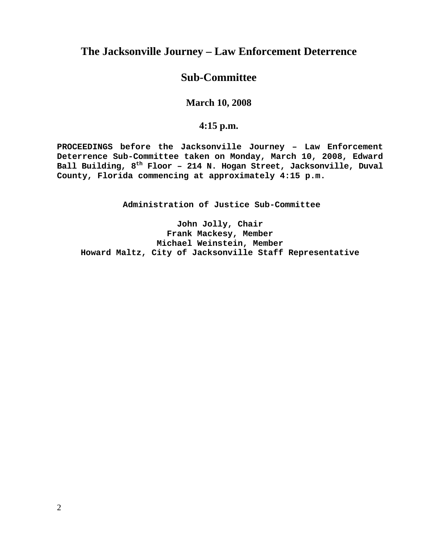#### **The Jacksonville Journey – Law Enforcement Deterrence**

#### **Sub-Committee**

#### **March 10, 2008**

#### **4:15 p.m.**

**PROCEEDINGS before the Jacksonville Journey – Law Enforcement Deterrence Sub-Committee taken on Monday, March 10, 2008, Edward Ball Building, 8th Floor – 214 N. Hogan Street, Jacksonville, Duval County, Florida commencing at approximately 4:15 p.m.** 

**Administration of Justice Sub-Committee** 

**John Jolly, Chair Frank Mackesy, Member Michael Weinstein, Member Howard Maltz, City of Jacksonville Staff Representative**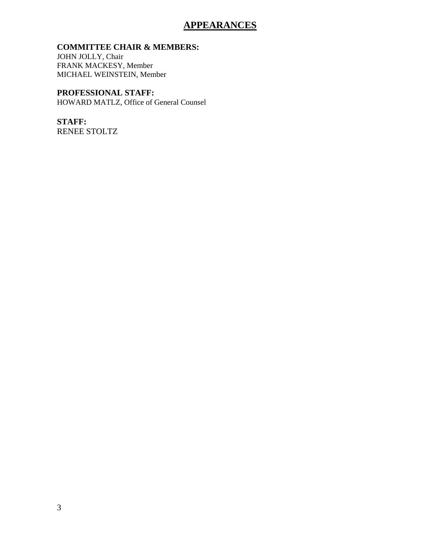#### **APPEARANCES**

#### **COMMITTEE CHAIR & MEMBERS:**

JOHN JOLLY, Chair FRANK MACKESY, Member MICHAEL WEINSTEIN, Member

#### **PROFESSIONAL STAFF:**

HOWARD MATLZ, Office of General Counsel

## **STAFF:**

RENEE STOLTZ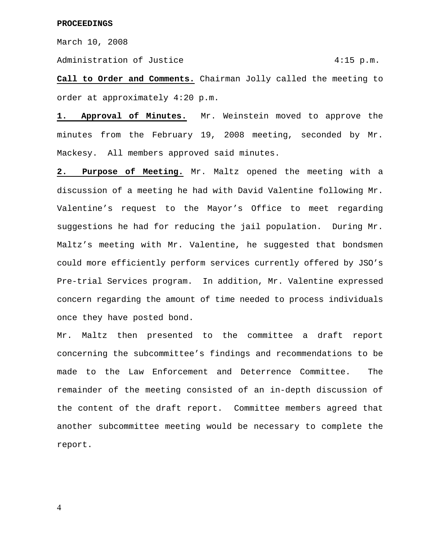March 10, 2008

Administration of Justice 4:15 p.m.

**Call to Order and Comments.** Chairman Jolly called the meeting to order at approximately 4:20 p.m.

**1. Approval of Minutes.** Mr. Weinstein moved to approve the minutes from the February 19, 2008 meeting, seconded by Mr. Mackesy. All members approved said minutes.

**2. Purpose of Meeting.** Mr. Maltz opened the meeting with a discussion of a meeting he had with David Valentine following Mr. Valentine's request to the Mayor's Office to meet regarding suggestions he had for reducing the jail population. During Mr. Maltz's meeting with Mr. Valentine, he suggested that bondsmen could more efficiently perform services currently offered by JSO's Pre-trial Services program. In addition, Mr. Valentine expressed concern regarding the amount of time needed to process individuals once they have posted bond.

Mr. Maltz then presented to the committee a draft report concerning the subcommittee's findings and recommendations to be made to the Law Enforcement and Deterrence Committee. The remainder of the meeting consisted of an in-depth discussion of the content of the draft report. Committee members agreed that another subcommittee meeting would be necessary to complete the report.

4